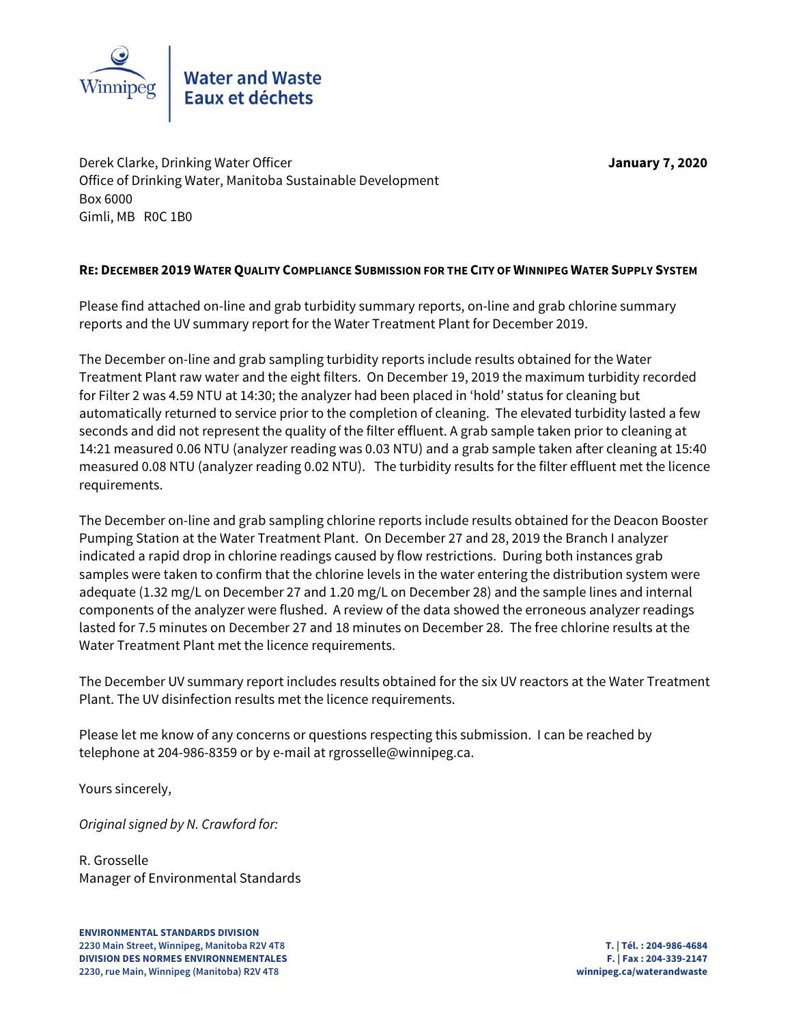

Derek Clarke, Drinking Water Officer **January 7, 2020** Office of Drinking Water, Manitoba Sustainable Development Box 6000 Gimli, MB R0C 1B0

# **RE: DECEMBER 2019 WATER QUALITY COMPLIANCE SUBMISSION FOR THE CITY OF WINNIPEG WATER SUPPLY SYSTEM**

Please find attached on-line and grab turbidity summary reports, on-line and grab chlorine summary reports and the UV summary report for the Water Treatment Plant for December 2019.

The December on-line and grab sampling turbidity reports include results obtained for the Water Treatment Plant raw water and the eight filters. On December 19, 2019 the maximum turbidity recorded for Filter 2 was 4.59 NTU at 14:30; the analyzer had been placed in 'hold' status for cleaning but automatically returned to service prior to the completion of cleaning. The elevated turbidity lasted a few seconds and did not represent the quality of the filter effluent. A grab sample taken prior to cleaning at 14:21 measured 0.06 NTU (analyzer reading was 0.03 NTU) and a grab sample taken after cleaning at 15:40 measured 0.08 NTU (analyzer reading 0.02 NTU). The turbidity results for the filter effluent met the licence requirements.

The December on-line and grab sampling chlorine reports include results obtained for the Deacon Booster Pumping Station at the Water Treatment Plant. On December 27 and 28, 2019 the Branch I analyzer indicated a rapid drop in chlorine readings caused by flow restrictions. During both instances grab samples were taken to confirm that the chlorine levels in the water entering the distribution system were adequate (1.32 mg/L on December 27 and 1.20 mg/L on December 28) and the sample lines and internal components of the analyzer were flushed. A review of the data showed the erroneous analyzer readings lasted for 7.5 minutes on December 27 and 18 minutes on December 28. The free chlorine results at the Water Treatment Plant met the licence requirements.

The December UV summary report includes results obtained for the six UV reactors at the Water Treatment Plant. The UV disinfection results met the licence requirements.

Please let me know of any concerns or questions respecting this submission. I can be reached by telephone at 204-986-8359 or by e-mail at rgrosselle@winnipeg.ca.

Yours sincerely,

Original signed by N. Crawford for:

R. Grosselle Manager of Environmental Standards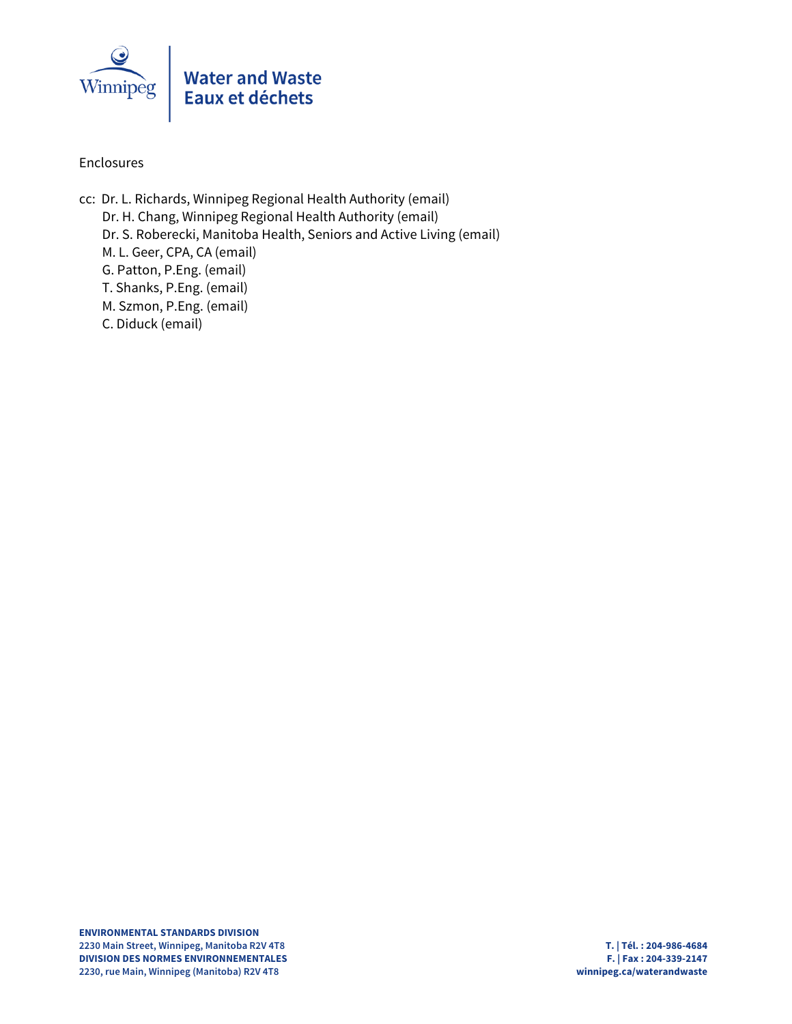

# Enclosures

cc: Dr. L. Richards, Winnipeg Regional Health Authority (email) Dr. H. Chang, Winnipeg Regional Health Authority (email) Dr. S. Roberecki, Manitoba Health, Seniors and Active Living (email) M. L. Geer, CPA, CA (email) G. Patton, P.Eng. (email) T. Shanks, P.Eng. (email) M. Szmon, P.Eng. (email) C. Diduck (email)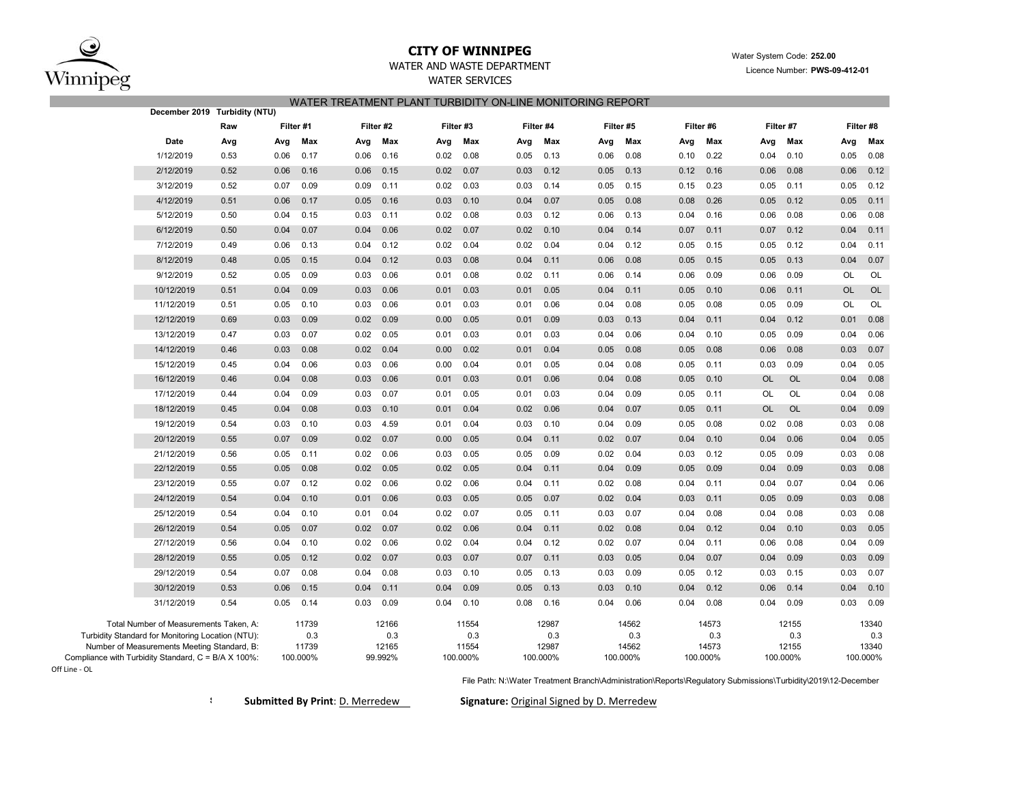

Off Line ‐ OL

## **CITY OF WINNIPEG**WATER AND WASTE DEPARTMENT

## WATER SERVICES WATER TREATMENT PLANT TURBIDITY ON-LINE MONITORING REPORT

|                                                                                                                                                                                                   | December 2019 Turbidity (NTU) |           |                                   |      |                                  |           |                                   |      |                                   |      |                                   |           |                                   |      |                                   |           |                                   |
|---------------------------------------------------------------------------------------------------------------------------------------------------------------------------------------------------|-------------------------------|-----------|-----------------------------------|------|----------------------------------|-----------|-----------------------------------|------|-----------------------------------|------|-----------------------------------|-----------|-----------------------------------|------|-----------------------------------|-----------|-----------------------------------|
|                                                                                                                                                                                                   | Raw                           | Filter #1 |                                   |      | Filter #2                        | Filter #3 |                                   |      | Filter #4                         |      | Filter #5                         | Filter #6 |                                   |      | Filter #7                         |           | Filter #8                         |
| Date                                                                                                                                                                                              | Avg                           | Avg       | Max                               | Avg  | Max                              | Avg       | Max                               | Avg  | Max                               | Avg  | Max                               | Avg       | Max                               | Avg  | Max                               | Avg       | Max                               |
| 1/12/2019                                                                                                                                                                                         | 0.53                          | 0.06      | 0.17                              | 0.06 | 0.16                             | 0.02      | 0.08                              | 0.05 | 0.13                              | 0.06 | 0.08                              | 0.10      | 0.22                              | 0.04 | 0.10                              | 0.05      | 0.08                              |
| 2/12/2019                                                                                                                                                                                         | 0.52                          | 0.06      | 0.16                              | 0.06 | 0.15                             | 0.02      | 0.07                              | 0.03 | 0.12                              | 0.05 | 0.13                              | 0.12      | 0.16                              | 0.06 | 0.08                              | 0.06      | 0.12                              |
| 3/12/2019                                                                                                                                                                                         | 0.52                          | 0.07      | 0.09                              | 0.09 | 0.11                             | 0.02      | 0.03                              | 0.03 | 0.14                              | 0.05 | 0.15                              | 0.15      | 0.23                              | 0.05 | 0.11                              | 0.05      | 0.12                              |
| 4/12/2019                                                                                                                                                                                         | 0.51                          | 0.06      | 0.17                              | 0.05 | 0.16                             | 0.03      | 0.10                              | 0.04 | 0.07                              | 0.05 | 0.08                              | 0.08      | 0.26                              | 0.05 | 0.12                              | 0.05      | 0.11                              |
| 5/12/2019                                                                                                                                                                                         | 0.50                          | 0.04      | 0.15                              | 0.03 | 0.11                             | 0.02      | 0.08                              | 0.03 | 0.12                              | 0.06 | 0.13                              | 0.04      | 0.16                              | 0.06 | 0.08                              | 0.06      | 0.08                              |
| 6/12/2019                                                                                                                                                                                         | 0.50                          | 0.04      | 0.07                              | 0.04 | 0.06                             | 0.02      | 0.07                              | 0.02 | 0.10                              | 0.04 | 0.14                              | 0.07      | 0.11                              | 0.07 | 0.12                              | 0.04      | 0.11                              |
| 7/12/2019                                                                                                                                                                                         | 0.49                          | 0.06      | 0.13                              | 0.04 | 0.12                             | 0.02      | 0.04                              | 0.02 | 0.04                              | 0.04 | 0.12                              | 0.05      | 0.15                              | 0.05 | 0.12                              | 0.04      | 0.11                              |
| 8/12/2019                                                                                                                                                                                         | 0.48                          | 0.05      | 0.15                              | 0.04 | 0.12                             | 0.03      | 0.08                              | 0.04 | 0.11                              | 0.06 | 0.08                              | 0.05      | 0.15                              | 0.05 | 0.13                              | 0.04      | 0.07                              |
| 9/12/2019                                                                                                                                                                                         | 0.52                          | 0.05      | 0.09                              | 0.03 | 0.06                             | 0.01      | 0.08                              | 0.02 | 0.11                              | 0.06 | 0.14                              | 0.06      | 0.09                              | 0.06 | 0.09                              | OL        | OL                                |
| 10/12/2019                                                                                                                                                                                        | 0.51                          | 0.04      | 0.09                              | 0.03 | 0.06                             | 0.01      | 0.03                              | 0.01 | 0.05                              | 0.04 | 0.11                              | 0.05      | 0.10                              | 0.06 | 0.11                              | <b>OL</b> | OL                                |
| 11/12/2019                                                                                                                                                                                        | 0.51                          | 0.05      | 0.10                              | 0.03 | 0.06                             | 0.01      | 0.03                              | 0.01 | 0.06                              | 0.04 | 0.08                              | 0.05      | 0.08                              | 0.05 | 0.09                              | OL        | OL                                |
| 12/12/2019                                                                                                                                                                                        | 0.69                          | 0.03      | 0.09                              | 0.02 | 0.09                             | 0.00      | 0.05                              | 0.01 | 0.09                              | 0.03 | 0.13                              | 0.04      | 0.11                              | 0.04 | 0.12                              | 0.01      | 0.08                              |
| 13/12/2019                                                                                                                                                                                        | 0.47                          | 0.03      | 0.07                              | 0.02 | 0.05                             | 0.01      | 0.03                              | 0.01 | 0.03                              | 0.04 | 0.06                              | 0.04      | 0.10                              | 0.05 | 0.09                              | 0.04      | 0.06                              |
| 14/12/2019                                                                                                                                                                                        | 0.46                          | 0.03      | 0.08                              | 0.02 | 0.04                             | 0.00      | 0.02                              | 0.01 | 0.04                              | 0.05 | 0.08                              | 0.05      | 0.08                              | 0.06 | 0.08                              | 0.03      | 0.07                              |
| 15/12/2019                                                                                                                                                                                        | 0.45                          | 0.04      | 0.06                              | 0.03 | 0.06                             | 0.00      | 0.04                              | 0.01 | 0.05                              | 0.04 | 0.08                              | 0.05      | 0.11                              | 0.03 | 0.09                              | 0.04      | 0.05                              |
| 16/12/2019                                                                                                                                                                                        | 0.46                          | 0.04      | 0.08                              | 0.03 | 0.06                             | 0.01      | 0.03                              | 0.01 | 0.06                              | 0.04 | 0.08                              | 0.05      | 0.10                              | OL   | OL                                | 0.04      | 0.08                              |
| 17/12/2019                                                                                                                                                                                        | 0.44                          | 0.04      | 0.09                              | 0.03 | 0.07                             | 0.01      | 0.05                              | 0.01 | 0.03                              | 0.04 | 0.09                              | 0.05      | 0.11                              | OL   | OL                                | 0.04      | 0.08                              |
| 18/12/2019                                                                                                                                                                                        | 0.45                          | 0.04      | 0.08                              | 0.03 | 0.10                             | 0.01      | 0.04                              | 0.02 | 0.06                              | 0.04 | 0.07                              | 0.05      | 0.11                              | OL   | OL                                | 0.04      | 0.09                              |
| 19/12/2019                                                                                                                                                                                        | 0.54                          | 0.03      | 0.10                              | 0.03 | 4.59                             | 0.01      | 0.04                              | 0.03 | 0.10                              | 0.04 | 0.09                              | 0.05      | 0.08                              | 0.02 | 0.08                              | 0.03      | 0.08                              |
| 20/12/2019                                                                                                                                                                                        | 0.55                          | 0.07      | 0.09                              | 0.02 | 0.07                             | 0.00      | 0.05                              | 0.04 | 0.11                              | 0.02 | 0.07                              | 0.04      | 0.10                              | 0.04 | 0.06                              | 0.04      | 0.05                              |
| 21/12/2019                                                                                                                                                                                        | 0.56                          | 0.05      | 0.11                              | 0.02 | 0.06                             | 0.03      | 0.05                              | 0.05 | 0.09                              | 0.02 | 0.04                              | 0.03      | 0.12                              | 0.05 | 0.09                              | 0.03      | 0.08                              |
| 22/12/2019                                                                                                                                                                                        | 0.55                          | 0.05      | 0.08                              | 0.02 | 0.05                             | 0.02      | 0.05                              | 0.04 | 0.11                              | 0.04 | 0.09                              | 0.05      | 0.09                              | 0.04 | 0.09                              | 0.03      | 0.08                              |
| 23/12/2019                                                                                                                                                                                        | 0.55                          | 0.07      | 0.12                              | 0.02 | 0.06                             | 0.02      | 0.06                              | 0.04 | 0.11                              | 0.02 | 0.08                              | 0.04      | 0.11                              | 0.04 | 0.07                              | 0.04      | 0.06                              |
| 24/12/2019                                                                                                                                                                                        | 0.54                          | 0.04      | 0.10                              | 0.01 | 0.06                             | 0.03      | 0.05                              | 0.05 | 0.07                              | 0.02 | 0.04                              | 0.03      | 0.11                              | 0.05 | 0.09                              | 0.03      | 0.08                              |
| 25/12/2019                                                                                                                                                                                        | 0.54                          | 0.04      | 0.10                              | 0.01 | 0.04                             | 0.02      | 0.07                              | 0.05 | 0.11                              | 0.03 | 0.07                              | 0.04      | 0.08                              | 0.04 | 0.08                              | 0.03      | 0.08                              |
| 26/12/2019                                                                                                                                                                                        | 0.54                          | 0.05      | 0.07                              | 0.02 | 0.07                             | 0.02      | 0.06                              | 0.04 | 0.11                              | 0.02 | 0.08                              | 0.04      | 0.12                              | 0.04 | 0.10                              | 0.03      | 0.05                              |
| 27/12/2019                                                                                                                                                                                        | 0.56                          | 0.04      | 0.10                              | 0.02 | 0.06                             | 0.02      | 0.04                              | 0.04 | 0.12                              | 0.02 | 0.07                              | 0.04      | 0.11                              | 0.06 | 0.08                              | 0.04      | 0.09                              |
| 28/12/2019                                                                                                                                                                                        | 0.55                          | 0.05      | 0.12                              | 0.02 | 0.07                             | 0.03      | 0.07                              | 0.07 | 0.11                              | 0.03 | 0.05                              | 0.04      | 0.07                              | 0.04 | 0.09                              | 0.03      | 0.09                              |
| 29/12/2019                                                                                                                                                                                        | 0.54                          | 0.07      | 0.08                              | 0.04 | 0.08                             | 0.03      | 0.10                              | 0.05 | 0.13                              | 0.03 | 0.09                              | 0.05      | 0.12                              | 0.03 | 0.15                              | 0.03      | 0.07                              |
| 30/12/2019                                                                                                                                                                                        | 0.53                          | 0.06      | 0.15                              | 0.04 | 0.11                             | 0.04      | 0.09                              | 0.05 | 0.13                              | 0.03 | 0.10                              | 0.04      | 0.12                              | 0.06 | 0.14                              | 0.04      | 0.10                              |
| 31/12/2019                                                                                                                                                                                        | 0.54                          | 0.05      | 0.14                              | 0.03 | 0.09                             | 0.04      | 0.10                              | 0.08 | 0.16                              | 0.04 | 0.06                              | 0.04      | 0.08                              | 0.04 | 0.09                              | 0.03      | 0.09                              |
| Total Number of Measurements Taken, A:<br>Turbidity Standard for Monitoring Location (NTU):<br>Number of Measurements Meeting Standard, B:<br>Compliance with Turbidity Standard, C = B/A X 100%: |                               |           | 11739<br>0.3<br>11739<br>100.000% |      | 12166<br>0.3<br>12165<br>99.992% |           | 11554<br>0.3<br>11554<br>100.000% |      | 12987<br>0.3<br>12987<br>100.000% |      | 14562<br>0.3<br>14562<br>100.000% |           | 14573<br>0.3<br>14573<br>100.000% |      | 12155<br>0.3<br>12155<br>100.000% |           | 13340<br>0.3<br>13340<br>100.000% |
|                                                                                                                                                                                                   |                               |           |                                   |      |                                  |           |                                   |      |                                   |      |                                   |           |                                   |      |                                   |           |                                   |

File Path: N:\Water Treatment Branch\Administration\Reports\Regulatory Submissions\Turbidity\2019\12-December

**S**

**Submitted By Print**: D. Merredew **Signature:** Original Signed by D. Merredew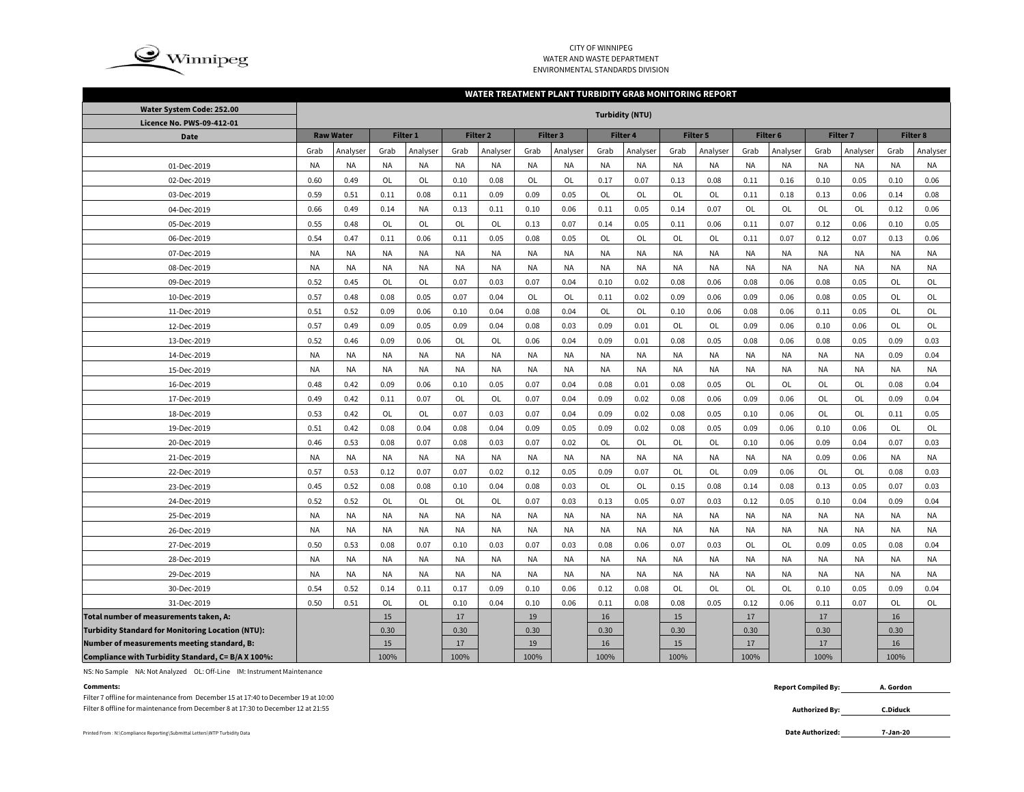

### CITY OF WINNIPEG WATER AND WASTE DEPARTMENTENVIRONMENTAL STANDARDS DIVISION

#### **WATER TREATMENT PLANT TURBIDITY GRAB MONITORING REPORT**

| Water System Code: 252.00                                |           |                  |           |           |           |                     |           |           |           | <b>Turbidity (NTU)</b> |           |           |           |           |           |                 |           |           |
|----------------------------------------------------------|-----------|------------------|-----------|-----------|-----------|---------------------|-----------|-----------|-----------|------------------------|-----------|-----------|-----------|-----------|-----------|-----------------|-----------|-----------|
| Licence No. PWS-09-412-01                                |           |                  |           |           |           |                     |           |           |           |                        |           |           |           |           |           |                 |           |           |
| <b>Date</b>                                              |           | <b>Raw Water</b> |           | Filter 1  |           | Filter <sub>2</sub> |           | Filter 3  |           | Filter 4               |           | Filter 5  |           | Filter 6  |           | <b>Filter 7</b> |           | Filter 8  |
|                                                          | Grab      | Analyser         | Grab      | Analyser  | Grab      | Analyser            | Grab      | Analyser  | Grab      | Analyser               | Grab      | Analyser  | Grab      | Analyser  | Grab      | Analyser        | Grab      | Analyser  |
| 01-Dec-2019                                              | <b>NA</b> | <b>NA</b>        | <b>NA</b> | NA        | <b>NA</b> | <b>NA</b>           | <b>NA</b> | <b>NA</b> | <b>NA</b> | <b>NA</b>              | <b>NA</b> | NA        | NA        | <b>NA</b> | <b>NA</b> | <b>NA</b>       | <b>NA</b> | <b>NA</b> |
| 02-Dec-2019                                              | 0.60      | 0.49             | <b>OL</b> | OL        | 0.10      | 0.08                | OL        | OL        | 0.17      | 0.07                   | 0.13      | 0.08      | 0.11      | 0.16      | 0.10      | 0.05            | 0.10      | 0.06      |
| 03-Dec-2019                                              | 0.59      | 0.51             | 0.11      | 0.08      | 0.11      | 0.09                | 0.09      | 0.05      | OL        | OL                     | <b>OL</b> | OL        | 0.11      | 0.18      | 0.13      | 0.06            | 0.14      | 0.08      |
| 04-Dec-2019                                              | 0.66      | 0.49             | 0.14      | NA        | 0.13      | 0.11                | 0.10      | 0.06      | 0.11      | 0.05                   | 0.14      | 0.07      | OL        | OL        | OL        | OL              | 0.12      | 0.06      |
| 05-Dec-2019                                              | 0.55      | 0.48             | OL        | OL        | OL        | OL                  | 0.13      | 0.07      | 0.14      | 0.05                   | 0.11      | 0.06      | 0.11      | 0.07      | 0.12      | 0.06            | 0.10      | 0.05      |
| 06-Dec-2019                                              | 0.54      | 0.47             | 0.11      | 0.06      | 0.11      | 0.05                | 0.08      | 0.05      | OL        | OL                     | OL        | OL        | 0.11      | 0.07      | 0.12      | 0.07            | 0.13      | 0.06      |
| 07-Dec-2019                                              | <b>NA</b> | <b>NA</b>        | NA        | <b>NA</b> | <b>NA</b> | <b>NA</b>           | <b>NA</b> | <b>NA</b> | <b>NA</b> | <b>NA</b>              | <b>NA</b> | NA        | NA        | <b>NA</b> | <b>NA</b> | <b>NA</b>       | <b>NA</b> | <b>NA</b> |
| 08-Dec-2019                                              | <b>NA</b> | <b>NA</b>        | NA        | <b>NA</b> | <b>NA</b> | <b>NA</b>           | <b>NA</b> | <b>NA</b> | <b>NA</b> | <b>NA</b>              | <b>NA</b> | NA        | <b>NA</b> | <b>NA</b> | <b>NA</b> | <b>NA</b>       | <b>NA</b> | <b>NA</b> |
| 09-Dec-2019                                              | 0.52      | 0.45             | OL        | OL        | 0.07      | 0.03                | 0.07      | 0.04      | 0.10      | 0.02                   | 0.08      | 0.06      | 0.08      | 0.06      | 0.08      | 0.05            | OL        | OL        |
| 10-Dec-2019                                              | 0.57      | 0.48             | 0.08      | 0.05      | 0.07      | 0.04                | OL        | OL        | 0.11      | 0.02                   | 0.09      | 0.06      | 0.09      | 0.06      | 0.08      | 0.05            | OL        | OL        |
| 11-Dec-2019                                              | 0.51      | 0.52             | 0.09      | 0.06      | 0.10      | 0.04                | 0.08      | 0.04      | <b>OL</b> | OL                     | 0.10      | 0.06      | 0.08      | 0.06      | 0.11      | 0.05            | <b>OL</b> | <b>OL</b> |
| 12-Dec-2019                                              | 0.57      | 0.49             | 0.09      | 0.05      | 0.09      | 0.04                | 0.08      | 0.03      | 0.09      | 0.01                   | <b>OL</b> | <b>OL</b> | 0.09      | 0.06      | 0.10      | 0.06            | OL        | OL        |
| 13-Dec-2019                                              | 0.52      | 0.46             | 0.09      | 0.06      | OL        | <b>OL</b>           | 0.06      | 0.04      | 0.09      | 0.01                   | 0.08      | 0.05      | 0.08      | 0.06      | 0.08      | 0.05            | 0.09      | 0.03      |
| 14-Dec-2019                                              | <b>NA</b> | <b>NA</b>        | NA        | NA        | <b>NA</b> | NA                  | <b>NA</b> | <b>NA</b> | <b>NA</b> | <b>NA</b>              | <b>NA</b> | NA        | ΝA        | <b>NA</b> | NA        | <b>NA</b>       | 0.09      | 0.04      |
| 15-Dec-2019                                              | NA        | NA               | NA        | NA        | NA        | NA                  | NA        | NA        | <b>NA</b> | <b>NA</b>              | NA        | NA        | ΝA        | NA        | NA        | NA              | <b>NA</b> | NA        |
| 16-Dec-2019                                              | 0.48      | 0.42             | 0.09      | 0.06      | 0.10      | 0.05                | 0.07      | 0.04      | 0.08      | 0.01                   | 0.08      | 0.05      | OL        | OL        | OL        | OL              | 0.08      | 0.04      |
| 17-Dec-2019                                              | 0.49      | 0.42             | 0.11      | 0.07      | OL        | OL                  | 0.07      | 0.04      | 0.09      | 0.02                   | 0.08      | 0.06      | 0.09      | 0.06      | OL        | OL              | 0.09      | 0.04      |
| 18-Dec-2019                                              | 0.53      | 0.42             | OL        | OL        | 0.07      | 0.03                | 0.07      | 0.04      | 0.09      | 0.02                   | 0.08      | 0.05      | 0.10      | 0.06      | OL        | OL              | 0.11      | 0.05      |
| 19-Dec-2019                                              | 0.51      | 0.42             | 0.08      | 0.04      | 0.08      | 0.04                | 0.09      | 0.05      | 0.09      | 0.02                   | 0.08      | 0.05      | 0.09      | 0.06      | 0.10      | 0.06            | OL        | OL        |
| 20-Dec-2019                                              | 0.46      | 0.53             | 0.08      | 0.07      | 0.08      | 0.03                | 0.07      | 0.02      | OL        | OL                     | OL        | OL        | 0.10      | 0.06      | 0.09      | 0.04            | 0.07      | 0.03      |
| 21-Dec-2019                                              | <b>NA</b> | <b>NA</b>        | NA        | NA        | <b>NA</b> | <b>NA</b>           | <b>NA</b> | NA        | <b>NA</b> | <b>NA</b>              | <b>NA</b> | NA        | NA        | <b>NA</b> | 0.09      | 0.06            | <b>NA</b> | <b>NA</b> |
| 22-Dec-2019                                              | 0.57      | 0.53             | 0.12      | 0.07      | 0.07      | 0.02                | 0.12      | 0.05      | 0.09      | 0.07                   | <b>OL</b> | <b>OL</b> | 0.09      | 0.06      | OL        | <b>OL</b>       | 0.08      | 0.03      |
| 23-Dec-2019                                              | 0.45      | 0.52             | 0.08      | 0.08      | 0.10      | 0.04                | 0.08      | 0.03      | <b>OL</b> | OL                     | 0.15      | 0.08      | 0.14      | 0.08      | 0.13      | 0.05            | 0.07      | 0.03      |
| 24-Dec-2019                                              | 0.52      | 0.52             | OL        | OL        | OL        | OL                  | 0.07      | 0.03      | 0.13      | 0.05                   | 0.07      | 0.03      | 0.12      | 0.05      | 0.10      | 0.04            | 0.09      | 0.04      |
| 25-Dec-2019                                              | NA        | NA               | NA        | NA        | <b>NA</b> | NA                  | <b>NA</b> | <b>NA</b> | <b>NA</b> | NA                     | <b>NA</b> | NA        | NA        | <b>NA</b> | NA        | <b>NA</b>       | <b>NA</b> | NA        |
| 26-Dec-2019                                              | NA        | NA               | NA        | NA        | <b>NA</b> | NA                  | <b>NA</b> | NA        | <b>NA</b> | NA                     | <b>NA</b> | NA        | ΝA        | <b>NA</b> | NA        | <b>NA</b>       | <b>NA</b> | <b>NA</b> |
| 27-Dec-2019                                              | 0.50      | 0.53             | 0.08      | 0.07      | 0.10      | 0.03                | 0.07      | 0.03      | 0.08      | 0.06                   | 0.07      | 0.03      | OL        | <b>OL</b> | 0.09      | 0.05            | 0.08      | 0.04      |
| 28-Dec-2019                                              | <b>NA</b> | <b>NA</b>        | <b>NA</b> | <b>NA</b> | <b>NA</b> | <b>NA</b>           | <b>NA</b> | <b>NA</b> | <b>NA</b> | <b>NA</b>              | <b>NA</b> | NA        | <b>NA</b> | <b>NA</b> | <b>NA</b> | <b>NA</b>       | <b>NA</b> | <b>NA</b> |
| 29-Dec-2019                                              | <b>NA</b> | <b>NA</b>        | NA        | <b>NA</b> | <b>NA</b> | <b>NA</b>           | <b>NA</b> | <b>NA</b> | <b>NA</b> | <b>NA</b>              | <b>NA</b> | NA        | <b>NA</b> | <b>NA</b> | <b>NA</b> | <b>NA</b>       | <b>NA</b> | <b>NA</b> |
| 30-Dec-2019                                              | 0.54      | 0.52             | 0.14      | 0.11      | 0.17      | 0.09                | 0.10      | 0.06      | 0.12      | 0.08                   | OL        | <b>OL</b> | OL        | <b>OL</b> | 0.10      | 0.05            | 0.09      | 0.04      |
| 31-Dec-2019                                              | 0.50      | 0.51             | OL        | OL        | 0.10      | 0.04                | 0.10      | 0.06      | 0.11      | 0.08                   | 0.08      | 0.05      | 0.12      | 0.06      | 0.11      | 0.07            | OL        | OL        |
| Total number of measurements taken, A:                   |           |                  | 15        |           | 17        |                     | 19        |           | 16        |                        | 15        |           | 17        |           | 17        |                 | 16        |           |
| <b>Turbidity Standard for Monitoring Location (NTU):</b> |           |                  | 0.30      |           | 0.30      |                     | 0.30      |           | 0.30      |                        | 0.30      |           | 0.30      |           | 0.30      |                 | 0.30      |           |
| Number of measurements meeting standard, B:              |           |                  | 15        |           | 17        |                     | 19        |           | 16        |                        | 15        |           | 17        |           | 17        |                 | 16        |           |
| Compliance with Turbidity Standard, C= B/A X 100%:       |           |                  | 100%      |           | 100%      |                     | 100%      |           | 100%      |                        | 100%      |           | 100%      |           | 100%      |                 | 100%      |           |

NS: No Sample NA: Not Analyzed OL: Off-Line IM: Instrument Maintenance

Filter 7 offline for maintenance from December 15 at 17:40 to December 19 at 10:00 Filter 8 offline for maintenance from December 8 at 17:30 to December 12 at 21:55

Printed From : N:\Compliance Reporting\Submittal Letters\WTP Turbidity Data **Date Authorized:** 

**Comments: Report Compiled By: A. Gordon**

> **Authorized By: C.Diduck**

**7-Jan-20**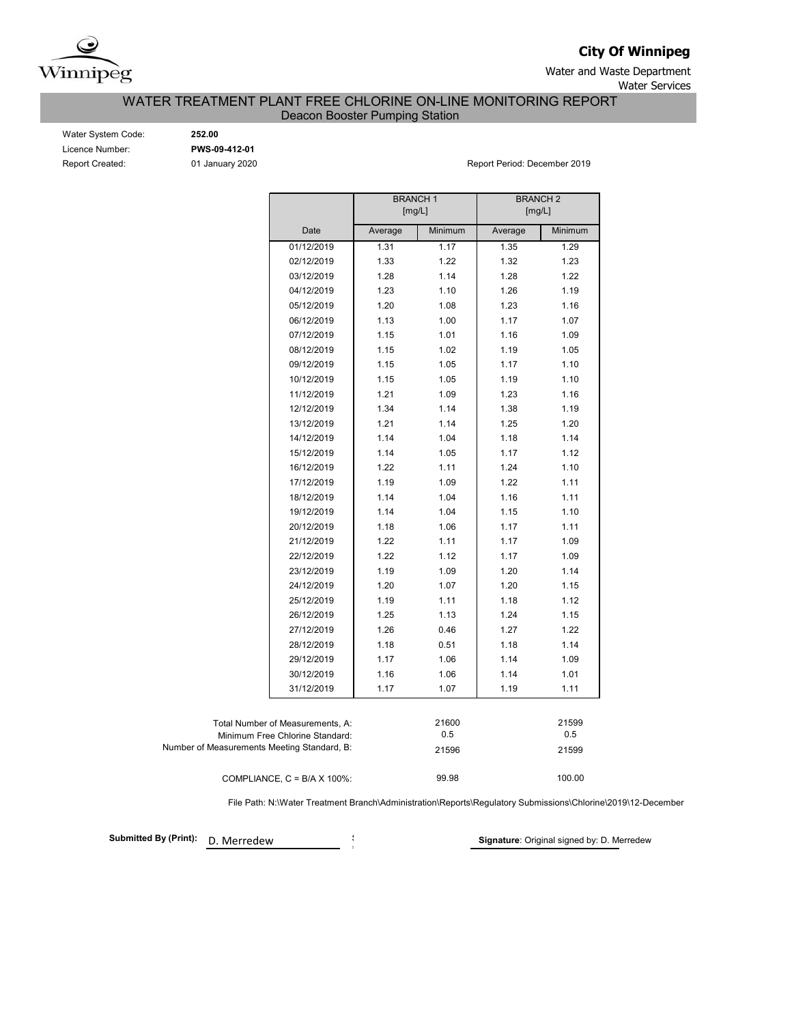

**City Of Winnipeg**

Water and Waste Department Water Services

WATER TREATMENT PLANT FREE CHLORINE ON-LINE MONITORING REPORT

Deacon Booster Pumping Station

Water System Code: **252.00** Licence Number: **PWS-09-412-01**

Report Created: 01 January 2020 Channel Communication Created: December 2019

|                                                                     | <b>BRANCH1</b><br>[mg/L] |              | <b>BRANCH 2</b><br>[mg/L] |              |
|---------------------------------------------------------------------|--------------------------|--------------|---------------------------|--------------|
| Date                                                                | Average                  | Minimum      | Average                   | Minimum      |
| 01/12/2019                                                          | 1.31                     | 1.17         | 1.35                      | 1.29         |
| 02/12/2019                                                          | 1.33                     | 1.22         | 1.32                      | 1.23         |
| 03/12/2019                                                          | 1.28                     | 1.14         | 1.28                      | 1.22         |
| 04/12/2019                                                          | 1.23                     | 1.10         | 1.26                      | 1.19         |
| 05/12/2019                                                          | 1.20                     | 1.08         | 1.23                      | 1.16         |
| 06/12/2019                                                          | 1.13                     | 1.00         | 1.17                      | 1.07         |
| 07/12/2019                                                          | 1.15                     | 1.01         | 1.16                      | 1.09         |
| 08/12/2019                                                          | 1.15                     | 1.02         | 1.19                      | 1.05         |
| 09/12/2019                                                          | 1.15                     | 1.05         | 1.17                      | 1.10         |
| 10/12/2019                                                          | 1.15                     | 1.05         | 1.19                      | 1.10         |
| 11/12/2019                                                          | 1.21                     | 1.09         | 1.23                      | 1.16         |
| 12/12/2019                                                          | 1.34                     | 1.14         | 1.38                      | 1.19         |
| 13/12/2019                                                          | 1.21                     | 1.14         | 1.25                      | 1.20         |
| 14/12/2019                                                          | 1.14                     | 1.04         | 1.18                      | 1.14         |
| 15/12/2019                                                          | 1.14                     | 1.05         | 1.17                      | 1.12         |
| 16/12/2019                                                          | 1.22                     | 1.11         | 1.24                      | 1.10         |
| 17/12/2019                                                          | 1.19                     | 1.09         | 1.22                      | 1.11         |
| 18/12/2019                                                          | 1.14                     | 1.04         | 1.16                      | 1.11         |
| 19/12/2019                                                          | 1.14                     | 1.04         | 1.15                      | 1.10         |
| 20/12/2019                                                          | 1.18                     | 1.06         | 1.17                      | 1.11         |
| 21/12/2019                                                          | 1.22                     | 1.11         | 1.17                      | 1.09         |
| 22/12/2019                                                          | 1.22                     | 1.12         | 1.17                      | 1.09         |
| 23/12/2019                                                          | 1.19                     | 1.09         | 1.20                      | 1.14         |
| 24/12/2019                                                          | 1.20                     | 1.07         | 1.20                      | 1.15         |
| 25/12/2019                                                          | 1.19                     | 1.11         | 1.18                      | 1.12         |
| 26/12/2019                                                          | 1.25                     | 1.13         | 1.24                      | 1.15         |
| 27/12/2019                                                          | 1.26                     | 0.46         | 1.27                      | 1.22         |
| 28/12/2019                                                          | 1.18                     | 0.51         | 1.18                      | 1.14         |
| 29/12/2019                                                          | 1.17                     | 1.06         | 1.14                      | 1.09         |
| 30/12/2019                                                          | 1.16                     | 1.06         | 1.14                      | 1.01         |
| 31/12/2019                                                          | 1.17                     | 1.07         | 1.19                      | 1.11         |
| Total Number of Measurements, A:<br>Minimum Free Chlorine Standard: |                          | 21600<br>0.5 |                           | 21599<br>0.5 |
| Number of Measurements Meeting Standard, B:                         |                          | 21596        |                           | 21599        |
| COMPLIANCE, $C = B/A \times 100\%$ :                                |                          | 99.98        |                           | 100.00       |

File Path: N:\Water Treatment Branch\Administration\Reports\Regulatory Submissions\Chlorine\2019\12-December

**Submitted By (Print):** D. Merredew

i

**Signature**: Original signed by: D. Merredew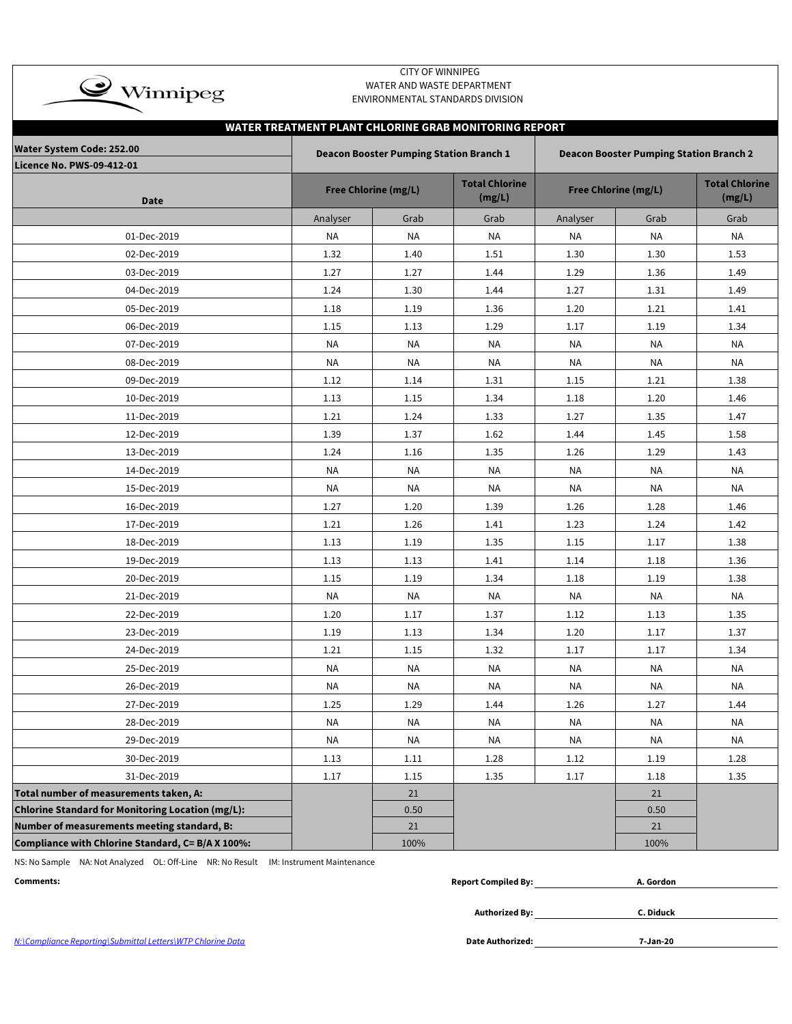| $\rightarrow$ Winnipeg                                               |           | <b>CITY OF WINNIPEG</b><br>WATER AND WASTE DEPARTMENT<br>ENVIRONMENTAL STANDARDS DIVISION |                                                       |           |                                                |                                 |
|----------------------------------------------------------------------|-----------|-------------------------------------------------------------------------------------------|-------------------------------------------------------|-----------|------------------------------------------------|---------------------------------|
|                                                                      |           |                                                                                           | WATER TREATMENT PLANT CHLORINE GRAB MONITORING REPORT |           |                                                |                                 |
| <b>Water System Code: 252.00</b><br><b>Licence No. PWS-09-412-01</b> |           | <b>Deacon Booster Pumping Station Branch 1</b>                                            |                                                       |           | <b>Deacon Booster Pumping Station Branch 2</b> |                                 |
| <b>Date</b>                                                          |           | <b>Free Chlorine (mg/L)</b>                                                               | <b>Total Chlorine</b><br>(mg/L)                       |           | <b>Free Chlorine (mg/L)</b>                    | <b>Total Chlorine</b><br>(mg/L) |
|                                                                      | Analyser  | Grab                                                                                      | Grab                                                  | Analyser  | Grab                                           | Grab                            |
| 01-Dec-2019                                                          | NA        | NA                                                                                        | NA                                                    | NA        | NA                                             | NA                              |
| 02-Dec-2019                                                          | 1.32      | 1.40                                                                                      | 1.51                                                  | 1.30      | 1.30                                           | 1.53                            |
| 03-Dec-2019                                                          | 1.27      | 1.27                                                                                      | 1.44                                                  | 1.29      | 1.36                                           | 1.49                            |
| 04-Dec-2019                                                          | 1.24      | 1.30                                                                                      | 1.44                                                  | 1.27      | 1.31                                           | 1.49                            |
| 05-Dec-2019                                                          | 1.18      | 1.19                                                                                      | 1.36                                                  | 1.20      | 1.21                                           | 1.41                            |
| 06-Dec-2019                                                          | 1.15      | 1.13                                                                                      | 1.29                                                  | 1.17      | 1.19                                           | 1.34                            |
| 07-Dec-2019                                                          | <b>NA</b> | <b>NA</b>                                                                                 | <b>NA</b>                                             | <b>NA</b> | <b>NA</b>                                      | <b>NA</b>                       |
| 08-Dec-2019                                                          | NA        | NA                                                                                        | NA                                                    | ΝA        | <b>NA</b>                                      | <b>NA</b>                       |
| 09-Dec-2019                                                          | 1.12      | 1.14                                                                                      | 1.31                                                  | 1.15      | 1.21                                           | 1.38                            |
| 10-Dec-2019                                                          | 1.13      | 1.15                                                                                      | 1.34                                                  | 1.18      | 1.20                                           | 1.46                            |
| 11-Dec-2019                                                          | 1.21      | 1.24                                                                                      | 1.33                                                  | 1.27      | 1.35                                           | 1.47                            |
| 12-Dec-2019                                                          | 1.39      | 1.37                                                                                      | 1.62                                                  | 1.44      | 1.45                                           | 1.58                            |
| 13-Dec-2019                                                          | 1.24      | 1.16                                                                                      | 1.35                                                  | 1.26      | 1.29                                           | 1.43                            |
| 14-Dec-2019                                                          | NA        | NA                                                                                        | <b>NA</b>                                             | ΝA        | NA                                             | NA                              |
| 15-Dec-2019                                                          | NA        | NA                                                                                        | <b>NA</b>                                             | <b>NA</b> | <b>NA</b>                                      | <b>NA</b>                       |
| 16-Dec-2019                                                          | 1.27      | 1.20                                                                                      | 1.39                                                  | 1.26      | 1.28                                           | 1.46                            |
| 17-Dec-2019                                                          | 1.21      | 1.26                                                                                      | 1.41                                                  | 1.23      | 1.24                                           | 1.42                            |
| 18-Dec-2019                                                          | 1.13      | 1.19                                                                                      | 1.35                                                  | 1.15      | 1.17                                           | 1.38                            |
| 19-Dec-2019                                                          | 1.13      | 1.13                                                                                      | 1.41                                                  | 1.14      | 1.18                                           | 1.36                            |
| 20-Dec-2019                                                          | 1.15      | 1.19                                                                                      | 1.34                                                  | 1.18      | 1.19                                           | 1.38                            |
| 21-Dec-2019                                                          | NA        | NA                                                                                        | NA                                                    | <b>NA</b> | NA                                             | <b>NA</b>                       |
| 22-Dec-2019                                                          | 1.20      | 1.17                                                                                      | 1.37                                                  | 1.12      | 1.13                                           | 1.35                            |
| 23-Dec-2019                                                          | 1.19      | 1.13                                                                                      | 1.34                                                  | 1.20      | 1.17                                           | 1.37                            |
| 24-Dec-2019                                                          | 1.21      | $1.15\,$                                                                                  | 1.32                                                  | 1.17      | 1.17                                           | 1.34                            |
| 25-Dec-2019                                                          | <b>NA</b> | <b>NA</b>                                                                                 | <b>NA</b>                                             | NA        | NA                                             | NA                              |
| 26-Dec-2019                                                          | <b>NA</b> | <b>NA</b>                                                                                 | <b>NA</b>                                             | NA        | <b>NA</b>                                      | <b>NA</b>                       |
| 27-Dec-2019                                                          | 1.25      | 1.29                                                                                      | 1.44                                                  | 1.26      | 1.27                                           | 1.44                            |
| 28-Dec-2019                                                          | NA        | NA                                                                                        | NA                                                    | <b>NA</b> | NA                                             | NA                              |
| 29-Dec-2019                                                          | <b>NA</b> | <b>NA</b>                                                                                 | <b>NA</b>                                             | <b>NA</b> | <b>NA</b>                                      | <b>NA</b>                       |
| 30-Dec-2019                                                          | 1.13      | 1.11                                                                                      | 1.28                                                  | 1.12      | 1.19                                           | 1.28                            |
| 31-Dec-2019                                                          | 1.17      | 1.15                                                                                      | 1.35                                                  | 1.17      | 1.18                                           | 1.35                            |
| Total number of measurements taken, A:                               |           | 21                                                                                        |                                                       |           | 21                                             |                                 |
| Chlorine Standard for Monitoring Location (mg/L):                    |           | 0.50                                                                                      |                                                       |           | 0.50                                           |                                 |
| Number of measurements meeting standard, B:                          |           | 21                                                                                        |                                                       |           | 21                                             |                                 |
| Compliance with Chlorine Standard, C= B/A X 100%:                    |           | 100%                                                                                      |                                                       |           | 100%                                           |                                 |

NS: No Sample NA: Not Analyzed OL: Off-Line NR: No Result IM: Instrument Maintenance

| Comments: | - Compiled Bv، .<br>Report | . Gordon |
|-----------|----------------------------|----------|
|           |                            |          |

**Authorized By:**

**C. Diduck**

N:\Compliance Reporting\Submittal Letters\WTP Chlorine Data **Date Authorized:**

**7-Jan-20**